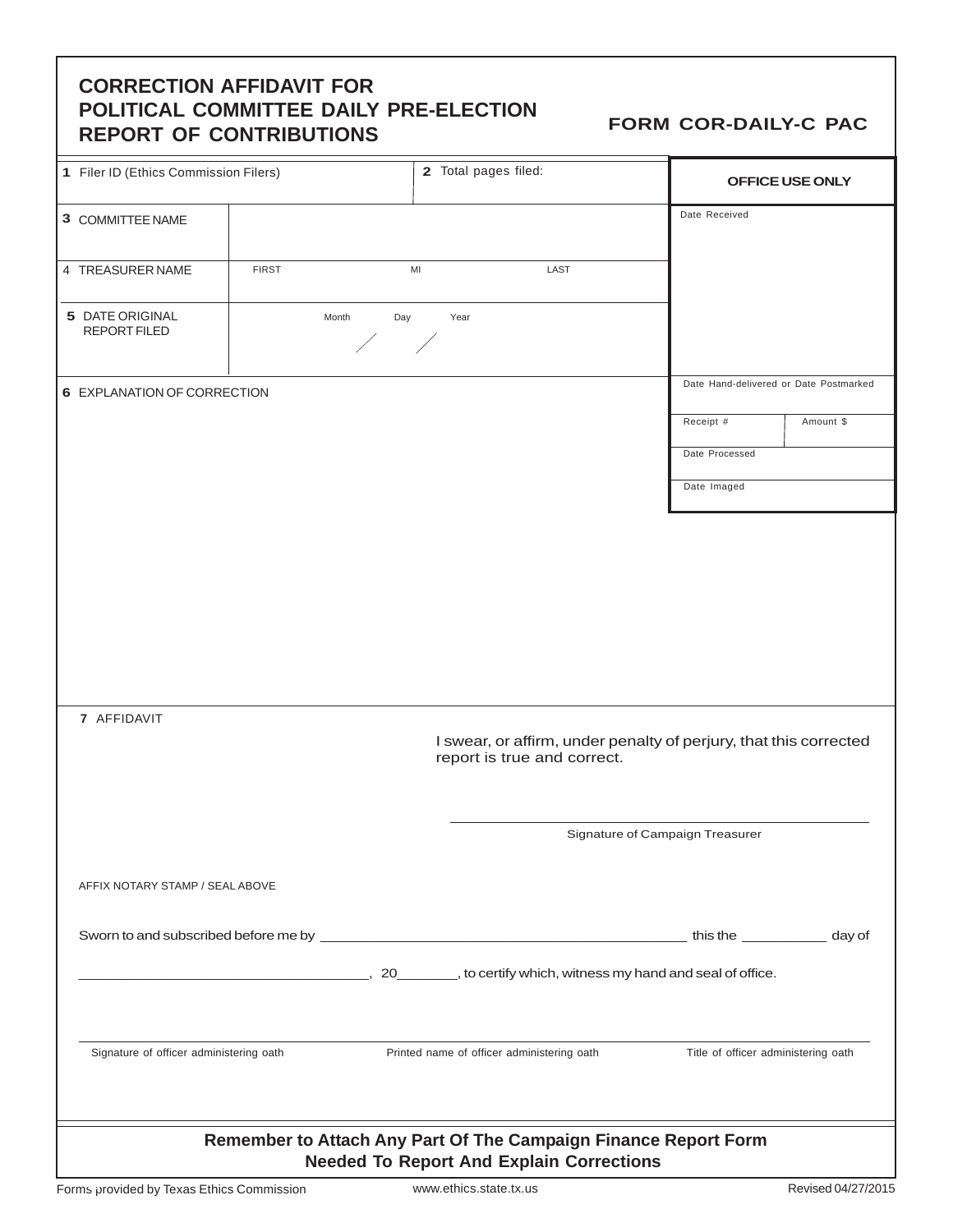## **CORRECTION AFFIDAVIT FOR POLITICAL COMMITTEE DAILY PRE-ELECTION REPORT OF CONTRIBUTIONS FORM COR-DAILY-C PAC**

| 1 Filer ID (Ethics Commission Filers)                                                                              |              |                                            | 2 Total pages filed:        | OFFICE USE ONLY                                                   |                                        |  |
|--------------------------------------------------------------------------------------------------------------------|--------------|--------------------------------------------|-----------------------------|-------------------------------------------------------------------|----------------------------------------|--|
| 3 COMMITTEE NAME                                                                                                   |              |                                            |                             | Date Received                                                     |                                        |  |
| 4 TREASURER NAME                                                                                                   | <b>FIRST</b> | MI                                         | LAST                        |                                                                   |                                        |  |
| 5 DATE ORIGINAL<br><b>REPORT FILED</b>                                                                             | Month        | Day<br>Year                                |                             |                                                                   |                                        |  |
| 6 EXPLANATION OF CORRECTION                                                                                        |              |                                            |                             |                                                                   | Date Hand-delivered or Date Postmarked |  |
|                                                                                                                    |              |                                            |                             | Receipt #                                                         | Amount \$                              |  |
|                                                                                                                    |              |                                            |                             | Date Processed<br>Date Imaged                                     |                                        |  |
|                                                                                                                    |              |                                            |                             |                                                                   |                                        |  |
|                                                                                                                    |              |                                            |                             |                                                                   |                                        |  |
|                                                                                                                    |              |                                            |                             |                                                                   |                                        |  |
|                                                                                                                    |              |                                            |                             |                                                                   |                                        |  |
|                                                                                                                    |              |                                            |                             |                                                                   |                                        |  |
| 7 AFFIDAVIT                                                                                                        |              |                                            |                             |                                                                   |                                        |  |
|                                                                                                                    |              |                                            |                             | I swear, or affirm, under penalty of perjury, that this corrected |                                        |  |
|                                                                                                                    |              |                                            | report is true and correct. |                                                                   |                                        |  |
| Signature of Campaign Treasurer                                                                                    |              |                                            |                             |                                                                   |                                        |  |
|                                                                                                                    |              |                                            |                             |                                                                   |                                        |  |
| AFFIX NOTARY STAMP / SEAL ABOVE                                                                                    |              |                                            |                             |                                                                   |                                        |  |
|                                                                                                                    |              |                                            |                             |                                                                   |                                        |  |
|                                                                                                                    |              |                                            |                             |                                                                   |                                        |  |
|                                                                                                                    |              |                                            |                             |                                                                   |                                        |  |
| Signature of officer administering oath                                                                            |              | Printed name of officer administering oath |                             |                                                                   | Title of officer administering oath    |  |
| Remember to Attach Any Part Of The Campaign Finance Report Form<br><b>Needed To Report And Explain Corrections</b> |              |                                            |                             |                                                                   |                                        |  |